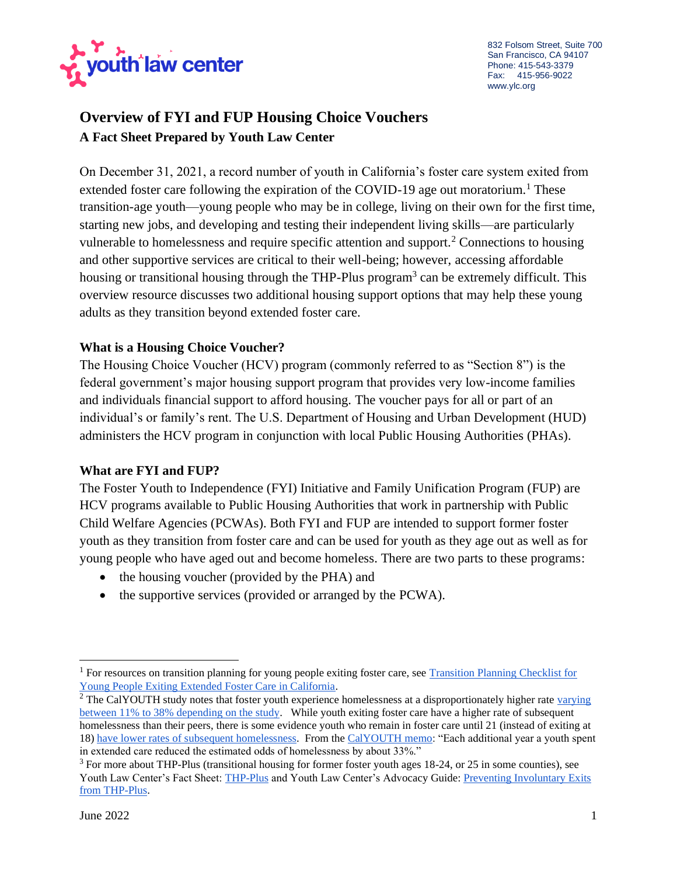

832 Folsom Street, Suite 700 San Francisco, CA 94107 Phone: 415-543-3379 Fax: 415-956-9022 www.ylc.org

# **Overview of FYI and FUP Housing Choice Vouchers A Fact Sheet Prepared by Youth Law Center**

On December 31, 2021, a record number of youth in California's foster care system exited from extended foster care following the expiration of the COVID-19 age out moratorium.<sup>1</sup> These transition-age youth—young people who may be in college, living on their own for the first time, starting new jobs, and developing and testing their independent living skills—are particularly vulnerable to homelessness and require specific attention and support.<sup>2</sup> Connections to housing and other supportive services are critical to their well-being; however, accessing affordable housing or transitional housing through the THP-Plus program<sup>3</sup> can be extremely difficult. This overview resource discusses two additional housing support options that may help these young adults as they transition beyond extended foster care.

#### **What is a Housing Choice Voucher?**

The Housing Choice Voucher (HCV) program (commonly referred to as "Section 8") is the federal government's major housing support program that provides very low-income families and individuals financial support to afford housing. The voucher pays for all or part of an individual's or family's rent. The U.S. Department of Housing and Urban Development (HUD) administers the HCV program in conjunction with local Public Housing Authorities (PHAs).

#### **What are FYI and FUP?**

The Foster Youth to Independence (FYI) Initiative and Family Unification Program (FUP) are HCV programs available to Public Housing Authorities that work in partnership with Public Child Welfare Agencies (PCWAs). Both FYI and FUP are intended to support former foster youth as they transition from foster care and can be used for youth as they age out as well as for young people who have aged out and become homeless. There are two parts to these programs:

- the housing voucher (provided by the PHA) and
- the supportive services (provided or arranged by the PCWA).

<sup>&</sup>lt;sup>1</sup> For resources on transition planning for young people exiting foster care, see Transition Planning Checklist for [Young People Exiting Extended Foster Care in California.](https://www.ylc.org/wp-content/uploads/2021/12/Transition-Planning-Check-List-for-Young-People-in-California.pdf)

<sup>&</sup>lt;sup>2</sup> The CalYOUTH study notes that foster youth experience homelessness at a disproportionately higher rate varying [between 11% to 38% depending on the study.](https://www.chapinhall.org/wp-content/uploads/PDF/CY_PH_IB0520.pdf) While youth exiting foster care have a higher rate of subsequent homelessness than their peers, there is some evidence youth who remain in foster care until 21 (instead of exiting at 18) [have lower rates of subsequent homelessness.](https://www.chapinhall.org/research/calyouth-efc-homelessness/) From th[e CalYOUTH memo:](https://www.chapinhall.org/wp-content/uploads/PDF/CY_PH_IB0520.pdf) "Each additional year a youth spent in extended care reduced the estimated odds of homelessness by about 33%."

<sup>&</sup>lt;sup>3</sup> For more about THP-Plus (transitional housing for former foster youth ages 18-24, or 25 in some counties), see Youth Law Center's Fact Sheet: [THP-Plus](https://www.ylc.org/wp-content/uploads/2021/11/THP-Plus-Fact-Sheet-10.2021.pdf) and Youth Law Center's Advocacy Guide: [Preventing Involuntary Exits](https://ylc.org/wp-content/uploads/2020/11/Preventing-Involuntary-Exits-from-THP-Plus_Final.pdf)  [from THP-Plus.](https://ylc.org/wp-content/uploads/2020/11/Preventing-Involuntary-Exits-from-THP-Plus_Final.pdf)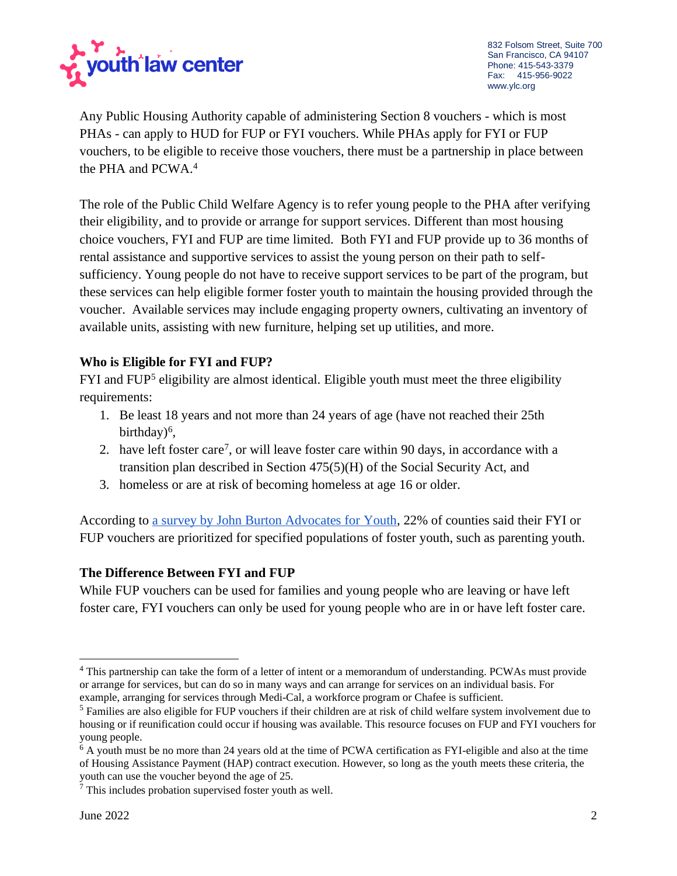

Any Public Housing Authority capable of administering Section 8 vouchers - which is most PHAs - can apply to HUD for FUP or FYI vouchers. While PHAs apply for FYI or FUP vouchers, to be eligible to receive those vouchers, there must be a partnership in place between the PHA and PCWA.<sup>4</sup>

The role of the Public Child Welfare Agency is to refer young people to the PHA after verifying their eligibility, and to provide or arrange for support services. Different than most housing choice vouchers, FYI and FUP are time limited. Both FYI and FUP provide up to 36 months of rental assistance and supportive services to assist the young person on their path to selfsufficiency. Young people do not have to receive support services to be part of the program, but these services can help eligible former foster youth to maintain the housing provided through the voucher. Available services may include engaging property owners, cultivating an inventory of available units, assisting with new furniture, helping set up utilities, and more.

## **Who is Eligible for FYI and FUP?**

FYI and FUP<sup>5</sup> eligibility are almost identical. Eligible youth must meet the three eligibility requirements:

- 1. Be least 18 years and not more than 24 years of age (have not reached their 25th birthday)<sup>6</sup>,
- 2. have left foster care<sup>7</sup>, or will leave foster care within 90 days, in accordance with a transition plan described in Section 475(5)(H) of the Social Security Act, and
- 3. homeless or are at risk of becoming homeless at age 16 or older.

According to [a survey by John Burton Advocates for Youth,](https://jbay.org/wp-content/uploads/2021/11/2020-21-Statewide-Analysis-of-Supportive-Housing-for-Former-Foster-Youth-in-CA.pdf) 22% of counties said their FYI or FUP vouchers are prioritized for specified populations of foster youth, such as parenting youth.

## **The Difference Between FYI and FUP**

While FUP vouchers can be used for families and young people who are leaving or have left foster care, FYI vouchers can only be used for young people who are in or have left foster care.

<sup>&</sup>lt;sup>4</sup> This partnership can take the form of a letter of intent or a memorandum of understanding. PCWAs must provide or arrange for services, but can do so in many ways and can arrange for services on an individual basis. For example, arranging for services through Medi-Cal, a workforce program or Chafee is sufficient.

<sup>&</sup>lt;sup>5</sup> Families are also eligible for FUP vouchers if their children are at risk of child welfare system involvement due to housing or if reunification could occur if housing was available. This resource focuses on FUP and FYI vouchers for young people.

<sup>&</sup>lt;sup>6</sup> A youth must be no more than 24 years old at the time of PCWA certification as FYI-eligible and also at the time of Housing Assistance Payment (HAP) contract execution. However, so long as the youth meets these criteria, the youth can use the voucher beyond the age of 25.

<sup>7</sup> This includes probation supervised foster youth as well.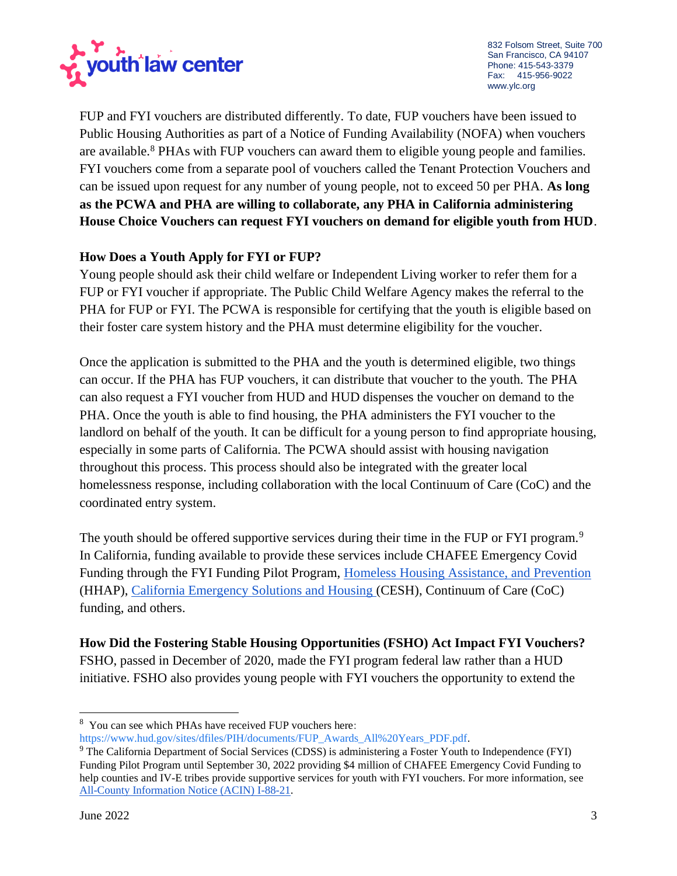

832 Folsom Street, Suite 700 San Francisco, CA 94107 Phone: 415-543-3379 Fax: 415-956-9022 www.ylc.org

FUP and FYI vouchers are distributed differently. To date, FUP vouchers have been issued to Public Housing Authorities as part of a Notice of Funding Availability (NOFA) when vouchers are available.<sup>8</sup> PHAs with FUP vouchers can award them to eligible young people and families. FYI vouchers come from a separate pool of vouchers called the Tenant Protection Vouchers and can be issued upon request for any number of young people, not to exceed 50 per PHA. **As long as the PCWA and PHA are willing to collaborate, any PHA in California administering House Choice Vouchers can request FYI vouchers on demand for eligible youth from HUD**.

## **How Does a Youth Apply for FYI or FUP?**

Young people should ask their child welfare or Independent Living worker to refer them for a FUP or FYI voucher if appropriate. The Public Child Welfare Agency makes the referral to the PHA for FUP or FYI. The PCWA is responsible for certifying that the youth is eligible based on their foster care system history and the PHA must determine eligibility for the voucher.

Once the application is submitted to the PHA and the youth is determined eligible, two things can occur. If the PHA has FUP vouchers, it can distribute that voucher to the youth. The PHA can also request a FYI voucher from HUD and HUD dispenses the voucher on demand to the PHA. Once the youth is able to find housing, the PHA administers the FYI voucher to the landlord on behalf of the youth. It can be difficult for a young person to find appropriate housing, especially in some parts of California. The PCWA should assist with housing navigation throughout this process. This process should also be integrated with the greater local homelessness response, including collaboration with the local Continuum of Care (CoC) and the coordinated entry system.

The youth should be offered supportive services during their time in the FUP or FYI program.<sup>9</sup> In California, funding available to provide these services include CHAFEE Emergency Covid Funding through the FYI Funding Pilot Program, [Homeless Housing Assistance, and Prevention](https://bcsh.ca.gov/calich/hhap_program.html) (HHAP), [California Emergency Solutions and Housing \(](https://www.hcd.ca.gov/grants-funding/active-no-funding/cesh.shtml)CESH), Continuum of Care (CoC) funding, and others.

**How Did the Fostering Stable Housing Opportunities (FSHO) Act Impact FYI Vouchers?**  FSHO, passed in December of 2020, made the FYI program federal law rather than a HUD initiative. FSHO also provides young people with FYI vouchers the opportunity to extend the

<sup>8</sup> You can see which PHAs have received FUP vouchers here: [https://www.hud.gov/sites/dfiles/PIH/documents/FUP\\_Awards\\_All%20Years\\_PDF.pdf.](https://www.hud.gov/sites/dfiles/PIH/documents/FUP_Awards_All%20Years_PDF.pdf)

<sup>&</sup>lt;sup>9</sup> The California Department of Social Services (CDSS) is administering a Foster Youth to Independence (FYI) Funding Pilot Program until September 30, 2022 providing \$4 million of CHAFEE Emergency Covid Funding to help counties and IV-E tribes provide supportive services for youth with FYI vouchers. For more information, see [All-County Information Notice \(ACIN\) I-88-21.](https://www.cdss.ca.gov/Portals/9/Additional-Resources/Letters-and-Notices/ACINs/2021/I-88_21.pdf?ver=2021-10-29-152726-810)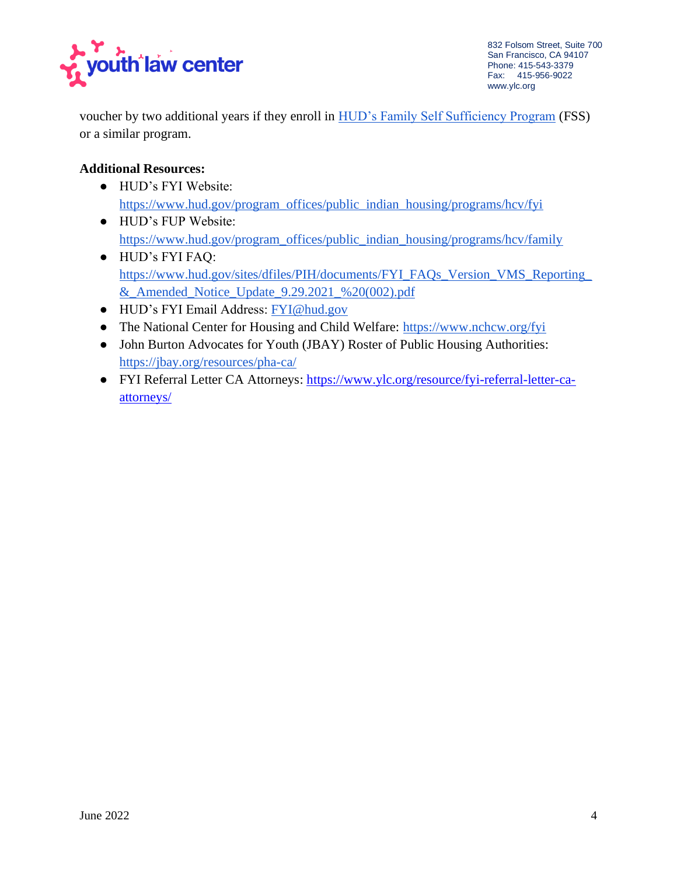

voucher by two additional years if they enroll in [HUD's Family Self Sufficiency Program](https://www.hud.gov/program_offices/public_indian_housing/programs/hcv/fss) (FSS) or a similar program.

## **Additional Resources:**

- HUD's FYI Website: [https://www.hud.gov/program\\_offices/public\\_indian\\_housing/programs/hcv/fyi](https://www.hud.gov/program_offices/public_indian_housing/programs/hcv/fyi)
- HUD's FUP Website: [https://www.hud.gov/program\\_offices/public\\_indian\\_housing/programs/hcv/family](https://www.hud.gov/program_offices/public_indian_housing/programs/hcv/family)
- HUD's FYI FAQ: [https://www.hud.gov/sites/dfiles/PIH/documents/FYI\\_FAQs\\_Version\\_VMS\\_Reporting\\_](https://www.hud.gov/sites/dfiles/PIH/documents/FYI_FAQs_Version_VMS_Reporting_&_Amended_Notice_Update_9.29.2021_%20(002).pdf) [&\\_Amended\\_Notice\\_Update\\_9.29.2021\\_%20\(002\).pdf](https://www.hud.gov/sites/dfiles/PIH/documents/FYI_FAQs_Version_VMS_Reporting_&_Amended_Notice_Update_9.29.2021_%20(002).pdf)
- HUD's FYI Email Address: [FYI@hud.gov](mailto:FYI@hud.gov)
- The National Center for Housing and Child Welfare: <https://www.nchcw.org/fyi>
- John Burton Advocates for Youth (JBAY) Roster of Public Housing Authorities: <https://jbay.org/resources/pha-ca/>
- FYI Referral Letter CA Attorneys: [https://www.ylc.org/resource/fyi-referral-letter-ca](https://www.ylc.org/resource/fyi-referral-letter-ca-attorneys/)[attorneys/](https://www.ylc.org/resource/fyi-referral-letter-ca-attorneys/)